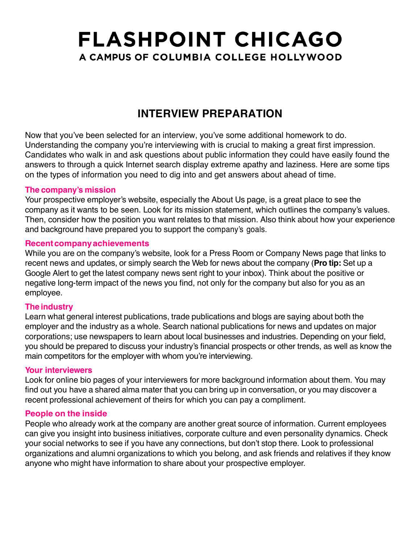### **INTERVIEW PREPARATION**

Now that you've been selected for an interview, you've some additional homework to do. Understanding the company you're interviewing with is crucial to making a great first impression. Candidates who walk in and ask questions about public information they could have easily found the answers to through a quick Internet search display extreme apathy and laziness. Here are some tips on the types of information you need to dig into and get answers about ahead of time.

#### **The company's mission**

Your prospective employer's website, especially the About Us page, is a great place to see the company as it wants to be seen. Look for its mission statement, which outlines the company's values. Then, consider how the position you want relates to that mission. Also think about how your experience and background have prepared you to support the company's goals.

#### **Recentcompanyachievements**

While you are on the company's website, look for a Press Room or Company News page that links to recent news and updates, or simply search the Web for news about the company (**Pro tip:** Set up a Google Alert to get the latest company news sent right to your inbox). Think about the positive or negative long-term impact of the news you find, not only for the company but also for you as an employee.

#### **The industry**

Learn what general interest publications, trade publications and blogs are saying about both the employer and the industry as a whole. Search national publications for news and updates on major corporations; use newspapers to learn about local businesses and industries. Depending on your field, you should be prepared to discuss your industry's financial prospects or other trends, as well as know the main competitors for the employer with whom you're interviewing.

#### **Your interviewers**

Look for online bio pages of your interviewers for more background information about them. You may find out you have a shared alma mater that you can bring up in conversation, or you may discover a recent professional achievement of theirs for which you can pay a compliment.

#### **People on the inside**

People who already work at the company are another great source of information. Current employees can give you insight into business initiatives, corporate culture and even personality dynamics. Check your social networks to see if you have any connections, but don't stop there. Look to professional organizations and alumni organizations to which you belong, and ask friends and relatives if they know anyone who might have information to share about your prospective employer.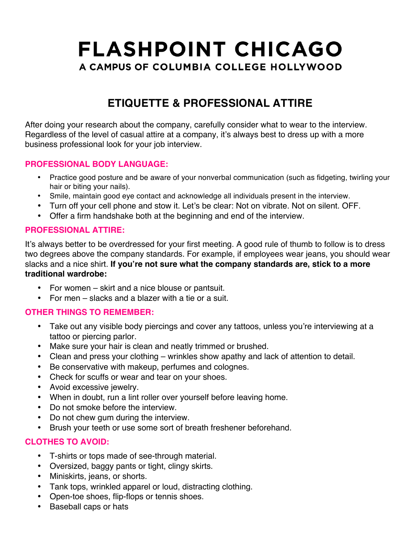## **ETIQUETTE & PROFESSIONAL ATTIRE**

After doing your research about the company, carefully consider what to wear to the interview. Regardless of the level of casual attire at a company, it's always best to dress up with a more business professional look for your job interview.

#### **PROFESSIONAL BODY LANGUAGE:**

- Practice good posture and be aware of your nonverbal communication (such as fidgeting, twirling your hair or biting your nails).
- Smile, maintain good eye contact and acknowledge all individuals present in the interview.
- Turn off your cell phone and stow it. Let's be clear: Not on vibrate. Not on silent. OFF.
- Offer a firm handshake both at the beginning and end of the interview.

#### **PROFESSIONAL ATTIRE:**

It's always better to be overdressed for your first meeting. A good rule of thumb to follow is to dress two degrees above the company standards. For example, if employees wear jeans, you should wear slacks and a nice shirt. **If you're not sure what the company standards are, stick to a more traditional wardrobe:**

- For women skirt and a nice blouse or pantsuit.
- For men slacks and a blazer with a tie or a suit.

### **OTHER THINGS TO REMEMBER:**

- Take out any visible body piercings and cover any tattoos, unless you're interviewing at a tattoo or piercing parlor.
- Make sure your hair is clean and neatly trimmed or brushed.
- Clean and press your clothing wrinkles show apathy and lack of attention to detail.
- Be conservative with makeup, perfumes and colognes.
- Check for scuffs or wear and tear on your shoes.
- Avoid excessive jewelry.
- When in doubt, run a lint roller over yourself before leaving home.
- Do not smoke before the interview.
- Do not chew gum during the interview.
- Brush your teeth or use some sort of breath freshener beforehand.

### **CLOTHES TO AVOID:**

- T-shirts or tops made of see-through material.
- Oversized, baggy pants or tight, clingy skirts.
- Miniskirts, jeans, or shorts.
- Tank tops, wrinkled apparel or loud, distracting clothing.
- Open-toe shoes, flip-flops or tennis shoes.
- Baseball caps or hats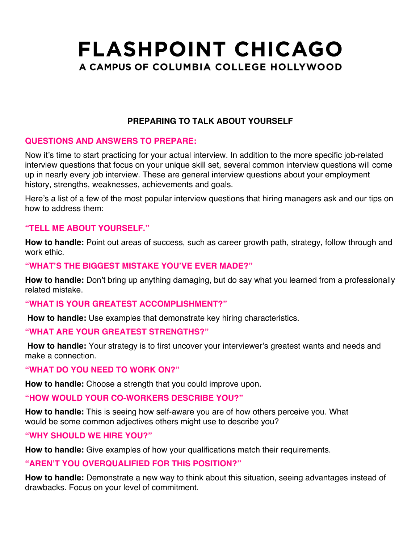### **PREPARING TO TALK ABOUT YOURSELF**

### **QUESTIONS AND ANSWERS TO PREPARE:**

Now it's time to start practicing for your actual interview. In addition to the more specific job-related interview questions that focus on your unique skill set, several common interview questions will come up in nearly every job interview. These are general interview questions about your employment history, strengths, weaknesses, achievements and goals.

Here's a list of a few of the most popular interview questions that hiring managers ask and our tips on how to address them:

#### **"TELL ME ABOUT YOURSELF."**

**How to handle:** Point out areas of success, such as career growth path, strategy, follow through and work ethic.

#### **"WHAT'S THE BIGGEST MISTAKE YOU'VE EVER MADE?"**

**How to handle:** Don't bring up anything damaging, but do say what you learned from a professionally related mistake.

#### **"WHAT IS YOUR GREATEST ACCOMPLISHMENT?"**

**How to handle:** Use examples that demonstrate key hiring characteristics.

#### **"WHAT ARE YOUR GREATEST STRENGTHS?"**

**How to handle:** Your strategy is to first uncover your interviewer's greatest wants and needs and make a connection.

#### **"WHAT DO YOU NEED TO WORK ON?"**

**How to handle:** Choose a strength that you could improve upon.

#### **"HOW WOULD YOUR CO-WORKERS DESCRIBE YOU?"**

**How to handle:** This is seeing how self-aware you are of how others perceive you. What would be some common adjectives others might use to describe you?

#### **"WHY SHOULD WE HIRE YOU?"**

**How to handle:** Give examples of how your qualifications match their requirements.

#### **"AREN'T YOU OVERQUALIFIED FOR THIS POSITION?"**

**How to handle:** Demonstrate a new way to think about this situation, seeing advantages instead of drawbacks. Focus on your level of commitment.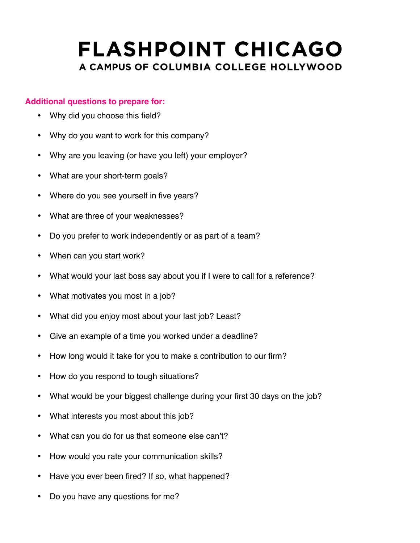#### **Additional questions to prepare for:**

- Why did you choose this field?
- Why do you want to work for this company?
- Why are you leaving (or have you left) your employer?
- What are your short-term goals?
- Where do you see yourself in five years?
- What are three of your weaknesses?
- Do you prefer to work independently or as part of a team?
- When can you start work?
- What would your last boss say about you if I were to call for a reference?
- What motivates you most in a job?
- What did you enjoy most about your last job? Least?
- Give an example of a time you worked under a deadline?
- How long would it take for you to make a contribution to our firm?
- How do you respond to tough situations?
- What would be your biggest challenge during your first 30 days on the job?
- What interests you most about this job?
- What can you do for us that someone else can't?
- How would you rate your communication skills?
- Have you ever been fired? If so, what happened?
- Do you have any questions for me?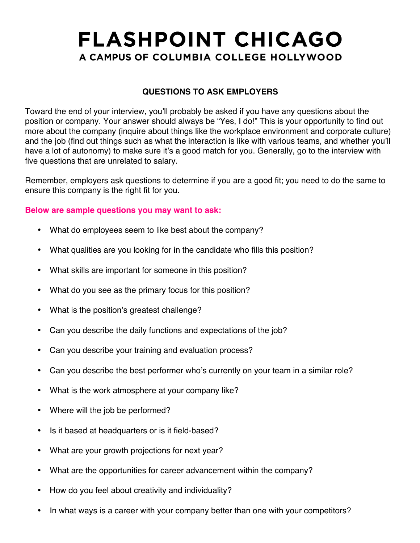### **QUESTIONS TO ASK EMPLOYERS**

Toward the end of your interview, you'll probably be asked if you have any questions about the position or company. Your answer should always be "Yes, I do!" This is your opportunity to find out more about the company (inquire about things like the workplace environment and corporate culture) and the job (find out things such as what the interaction is like with various teams, and whether you'll have a lot of autonomy) to make sure it's a good match for you. Generally, go to the interview with five questions that are unrelated to salary.

Remember, employers ask questions to determine if you are a good fit; you need to do the same to ensure this company is the right fit for you.

#### **Below are sample questions you may want to ask:**

- What do employees seem to like best about the company?
- What qualities are you looking for in the candidate who fills this position?
- What skills are important for someone in this position?
- What do you see as the primary focus for this position?
- What is the position's greatest challenge?
- Can you describe the daily functions and expectations of the job?
- Can you describe your training and evaluation process?
- Can you describe the best performer who's currently on your team in a similar role?
- What is the work atmosphere at your company like?
- Where will the job be performed?
- Is it based at headquarters or is it field-based?
- What are your growth projections for next year?
- What are the opportunities for career advancement within the company?
- How do you feel about creativity and individuality?
- In what ways is a career with your company better than one with your competitors?